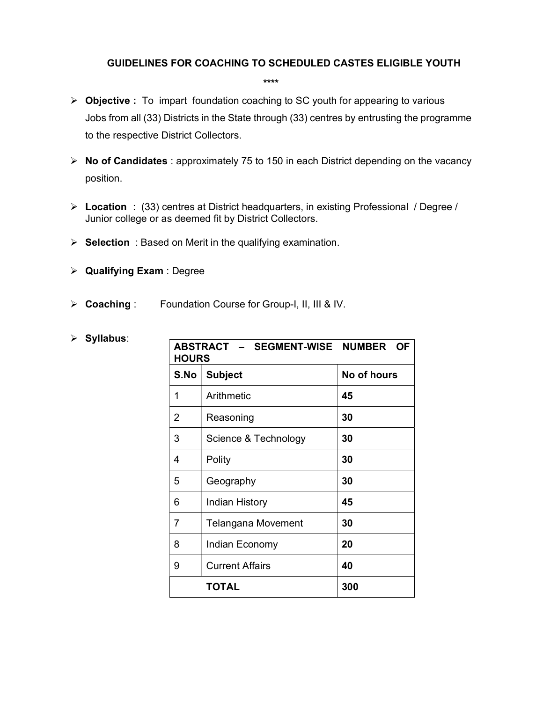## GUIDELINES FOR COACHING TO SCHEDULED CASTES ELIGIBLE YOUTH

 $\triangleright$  Objective : To impart foundation coaching to SC youth for appearing to various Jobs from all (33) Districts in the State through (33) centres by entrusting the programme to the respective District Collectors.

\*\*\*\*

- $\triangleright$  No of Candidates : approximately 75 to 150 in each District depending on the vacancy position.
- Location : (33) centres at District headquarters, in existing Professional / Degree / Junior college or as deemed fit by District Collectors.
- $\triangleright$  Selection : Based on Merit in the qualifying examination.
- $\triangleright$  Qualifying Exam : Degree
- ▶ Coaching : Foundation Course for Group-I, II, III & IV.

| ×. | Syllabus: |
|----|-----------|
|    |           |

| ABSTRACT - SEGMENT-WISE NUMBER OF<br><b>HOURS</b> |                               |     |  |  |
|---------------------------------------------------|-------------------------------|-----|--|--|
| S.No                                              | <b>Subject</b><br>No of hours |     |  |  |
| 1                                                 | Arithmetic                    | 45  |  |  |
| 2                                                 | 30<br>Reasoning               |     |  |  |
| 3                                                 | Science & Technology          | 30  |  |  |
| 4                                                 | Polity                        | 30  |  |  |
| 5                                                 | Geography                     | 30  |  |  |
| 6                                                 | <b>Indian History</b>         | 45  |  |  |
| 7                                                 | <b>Telangana Movement</b>     | 30  |  |  |
| 8                                                 | Indian Economy                | 20  |  |  |
| 9                                                 | <b>Current Affairs</b>        | 40  |  |  |
|                                                   | <b>TOTAL</b>                  | 300 |  |  |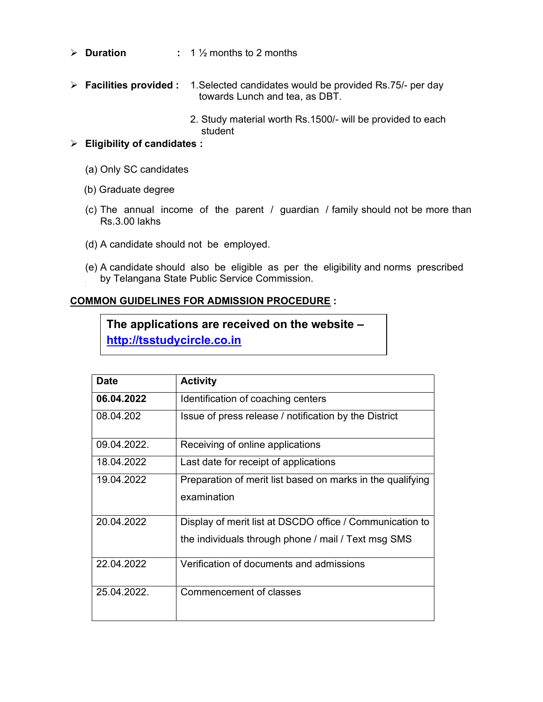- $\triangleright$  **Duration** : 1  $\frac{1}{2}$  months to 2 months
- $\triangleright$  Facilities provided : 1. Selected candidates would be provided Rs.75/- per day towards Lunch and tea, as DBT.
	- 2. Study material worth Rs.1500/- will be provided to each student

## $\triangleright$  Eligibility of candidates :

- (a) Only SC candidates
- (b) Graduate degree
- (c) The annual income of the parent / guardian / family should not be more than Rs.3.00 lakhs
- (d) A candidate should not be employed.
- (e) A candidate should also be eligible as per the eligibility and norms prescribed by Telangana State Public Service Commission.

## COMMON GUIDELINES FOR ADMISSION PROCEDURE :

The applications are received on the website – http://tsstudycircle.co.in

| <b>Date</b> | <b>Activity</b>                                                                                                 |
|-------------|-----------------------------------------------------------------------------------------------------------------|
| 06.04.2022  | Identification of coaching centers                                                                              |
| 08.04.202   | Issue of press release / notification by the District                                                           |
| 09.04.2022. | Receiving of online applications                                                                                |
| 18.04.2022  | Last date for receipt of applications                                                                           |
| 19.04.2022  | Preparation of merit list based on marks in the qualifying<br>examination                                       |
| 20.04.2022  | Display of merit list at DSCDO office / Communication to<br>the individuals through phone / mail / Text msg SMS |
| 22.04.2022  | Verification of documents and admissions                                                                        |
| 25.04.2022. | Commencement of classes                                                                                         |